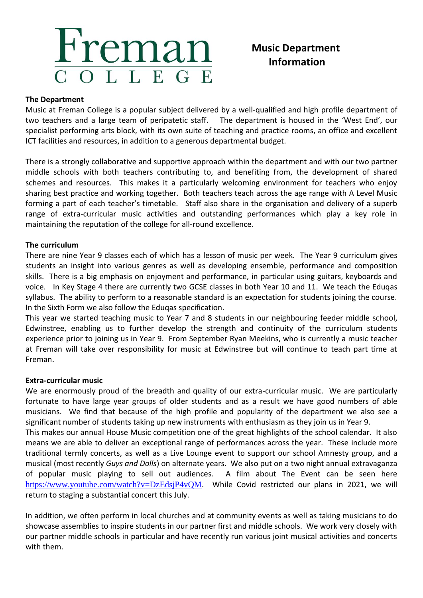# Freman COLLEGE

## **Music Department Information**

### **The Department**

Music at Freman College is a popular subject delivered by a well-qualified and high profile department of two teachers and a large team of peripatetic staff. The department is housed in the 'West End', our specialist performing arts block, with its own suite of teaching and practice rooms, an office and excellent ICT facilities and resources, in addition to a generous departmental budget.

There is a strongly collaborative and supportive approach within the department and with our two partner middle schools with both teachers contributing to, and benefiting from, the development of shared schemes and resources. This makes it a particularly welcoming environment for teachers who enjoy sharing best practice and working together. Both teachers teach across the age range with A Level Music forming a part of each teacher's timetable. Staff also share in the organisation and delivery of a superb range of extra-curricular music activities and outstanding performances which play a key role in maintaining the reputation of the college for all-round excellence.

### **The curriculum**

There are nine Year 9 classes each of which has a lesson of music per week. The Year 9 curriculum gives students an insight into various genres as well as developing ensemble, performance and composition skills. There is a big emphasis on enjoyment and performance, in particular using guitars, keyboards and voice. In Key Stage 4 there are currently two GCSE classes in both Year 10 and 11. We teach the Eduqas syllabus. The ability to perform to a reasonable standard is an expectation for students joining the course. In the Sixth Form we also follow the Eduqas specification.

This year we started teaching music to Year 7 and 8 students in our neighbouring feeder middle school, Edwinstree, enabling us to further develop the strength and continuity of the curriculum students experience prior to joining us in Year 9. From September Ryan Meekins, who is currently a music teacher at Freman will take over responsibility for music at Edwinstree but will continue to teach part time at Freman.

### **Extra-curricular music**

We are enormously proud of the breadth and quality of our extra-curricular music. We are particularly fortunate to have large year groups of older students and as a result we have good numbers of able musicians. We find that because of the high profile and popularity of the department we also see a significant number of students taking up new instruments with enthusiasm as they join us in Year 9.

This makes our annual House Music competition one of the great highlights of the school calendar. It also means we are able to deliver an exceptional range of performances across the year. These include more traditional termly concerts, as well as a Live Lounge event to support our school Amnesty group, and a musical (most recently *Guys and Dolls*) on alternate years. We also put on a two night annual extravaganza of popular music playing to sell out audiences. A film about The Event can be seen here <https://www.youtube.com/watch?v=DzEdsjP4vQM>. While Covid restricted our plans in 2021, we will return to staging a substantial concert this July.

In addition, we often perform in local churches and at community events as well as taking musicians to do showcase assemblies to inspire students in our partner first and middle schools. We work very closely with our partner middle schools in particular and have recently run various joint musical activities and concerts with them.